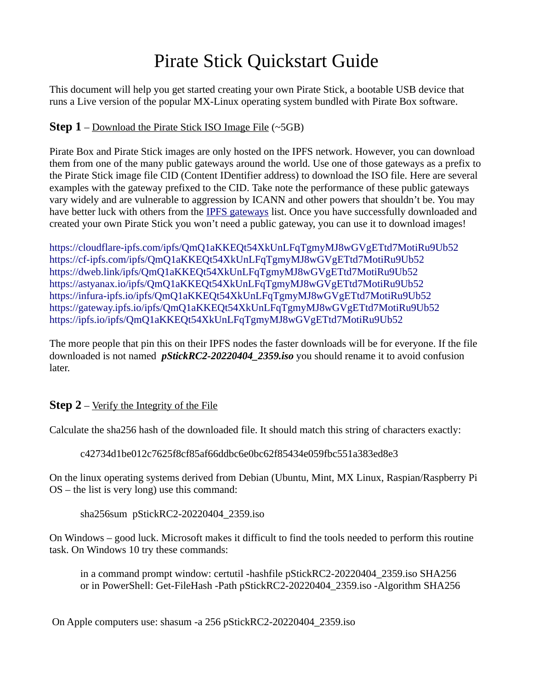## Pirate Stick Quickstart Guide

This document will help you get started creating your own Pirate Stick, a bootable USB device that runs a Live version of the popular MX-Linux operating system bundled with Pirate Box software.

## **Step 1** – Download the Pirate Stick ISO Image File  $(\sim 5GB)$

Pirate Box and Pirate Stick images are only hosted on the IPFS network. However, you can download them from one of the many public gateways around the world. Use one of those gateways as a prefix to the Pirate Stick image file CID (Content IDentifier address) to download the ISO file. Here are several examples with the gateway prefixed to the CID. Take note the performance of these public gateways vary widely and are vulnerable to aggression by ICANN and other powers that shouldn't be. You may have better luck with others from the [IPFS gateways](https://ipfs.github.io/public-gateway-checker/) list. Once you have successfully downloaded and created your own Pirate Stick you won't need a public gateway, you can use it to download images!

<https://cloudflare-ipfs.com/ipfs/QmQ1aKKEQt54XkUnLFqTgmyMJ8wGVgETtd7MotiRu9Ub52> <https://cf-ipfs.com/ipfs/QmQ1aKKEQt54XkUnLFqTgmyMJ8wGVgETtd7MotiRu9Ub52> <https://dweb.link/ipfs/QmQ1aKKEQt54XkUnLFqTgmyMJ8wGVgETtd7MotiRu9Ub52> <https://astyanax.io/ipfs/QmQ1aKKEQt54XkUnLFqTgmyMJ8wGVgETtd7MotiRu9Ub52> <https://infura-ipfs.io/ipfs/QmQ1aKKEQt54XkUnLFqTgmyMJ8wGVgETtd7MotiRu9Ub52> <https://gateway.ipfs.io/ipfs/QmQ1aKKEQt54XkUnLFqTgmyMJ8wGVgETtd7MotiRu9Ub52> <https://ipfs.io/ipfs/QmQ1aKKEQt54XkUnLFqTgmyMJ8wGVgETtd7MotiRu9Ub52>

The more people that pin this on their IPFS nodes the faster downloads will be for everyone. If the file downloaded is not named *pStickRC2-20220404\_2359.iso* you should rename it to avoid confusion later.

## **Step 2** – Verify the Integrity of the File

Calculate the sha256 hash of the downloaded file. It should match this string of characters exactly:

c42734d1be012c7625f8cf85af66ddbc6e0bc62f85434e059fbc551a383ed8e3

On the linux operating systems derived from Debian (Ubuntu, Mint, MX Linux, Raspian/Raspberry Pi OS – the list is very long) use this command:

sha256sum pStickRC2-20220404\_2359.iso

On Windows – good luck. Microsoft makes it difficult to find the tools needed to perform this routine task. On Windows 10 try these commands:

in a command prompt window: certutil -hashfile pStickRC2-20220404\_2359.iso SHA256 or in PowerShell: Get-FileHash -Path pStickRC2-20220404\_2359.iso -Algorithm SHA256

On Apple computers use: shasum -a 256 pStickRC2-20220404\_2359.iso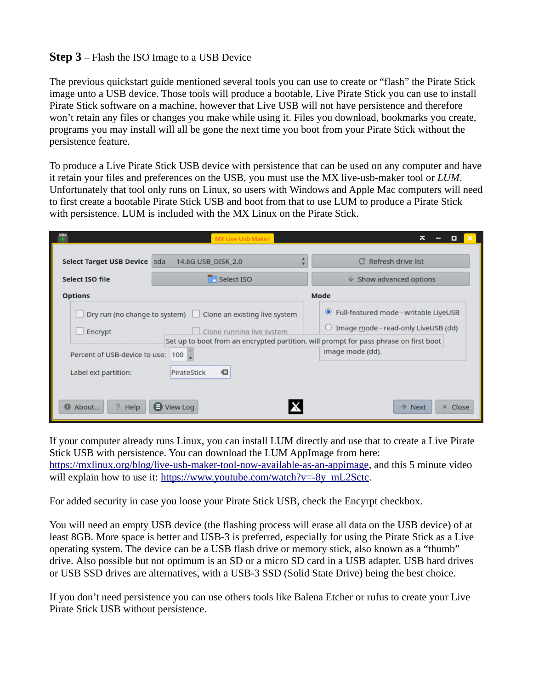## **Step 3** – Flash the ISO Image to a USB Device

The previous quickstart guide mentioned several tools you can use to create or "flash" the Pirate Stick image unto a USB device. Those tools will produce a bootable, Live Pirate Stick you can use to install Pirate Stick software on a machine, however that Live USB will not have persistence and therefore won't retain any files or changes you make while using it. Files you download, bookmarks you create, programs you may install will all be gone the next time you boot from your Pirate Stick without the persistence feature.

To produce a Live Pirate Stick USB device with persistence that can be used on any computer and have it retain your files and preferences on the USB, you must use the MX live-usb-maker tool or *LUM*. Unfortunately that tool only runs on Linux, so users with Windows and Apple Mac computers will need to first create a bootable Pirate Stick USB and boot from that to use LUM to produce a Pirate Stick with persistence. LUM is included with the MX Linux on the Pirate Stick.

|                                                                                                                                                                                                        | MX Live Usb Maker  | ᄎ<br>o                                                                                         |
|--------------------------------------------------------------------------------------------------------------------------------------------------------------------------------------------------------|--------------------|------------------------------------------------------------------------------------------------|
| Select Target USB Device sda                                                                                                                                                                           | 14.6G USB_DISK_2.0 | C Refresh drive list                                                                           |
| Select ISO file                                                                                                                                                                                        | $\Box$ Select ISO  | $\downarrow$ Show advanced options                                                             |
| Mode<br><b>Options</b>                                                                                                                                                                                 |                    |                                                                                                |
| Dry run (no change to system) $\Box$<br>Clone an existing live system<br>Clone running live system<br>Encrypt<br>Set up to boot from an encrypted partition, will prompt for pass phrase on first boot |                    | Full-featured mode - writable LiveUSB<br>$\circledcirc$<br>Image mode - read-only LiveUSB (dd) |
| Percent of USB-device to use: 100                                                                                                                                                                      |                    | image mode (dd).                                                                               |
| €<br>Label ext partition:<br>PirateStick                                                                                                                                                               |                    |                                                                                                |
| $\bigoplus$ View Log<br>About<br>Help<br>$\rightarrow$ Next<br>× Close                                                                                                                                 |                    |                                                                                                |

If your computer already runs Linux, you can install LUM directly and use that to create a Live Pirate Stick USB with persistence. You can download the LUM AppImage from here: [https://mxlinux.org/blog/live-usb-maker-tool-now-available-as-an-appimage,](https://mxlinux.org/blog/live-usb-maker-tool-now-available-as-an-appimage) and this 5 minute video will explain how to use it: [https://www.youtube.com/watch?v=-8y\\_mL2Sctc](https://www.youtube.com/watch?v=-8y_mL2Sctc).

For added security in case you loose your Pirate Stick USB, check the Encyrpt checkbox.

You will need an empty USB device (the flashing process will erase all data on the USB device) of at least 8GB. More space is better and USB-3 is preferred, especially for using the Pirate Stick as a Live operating system. The device can be a USB flash drive or memory stick, also known as a "thumb" drive. Also possible but not optimum is an SD or a micro SD card in a USB adapter. USB hard drives or USB SSD drives are alternatives, with a USB-3 SSD (Solid State Drive) being the best choice.

If you don't need persistence you can use others tools like Balena Etcher or rufus to create your Live Pirate Stick USB without persistence.